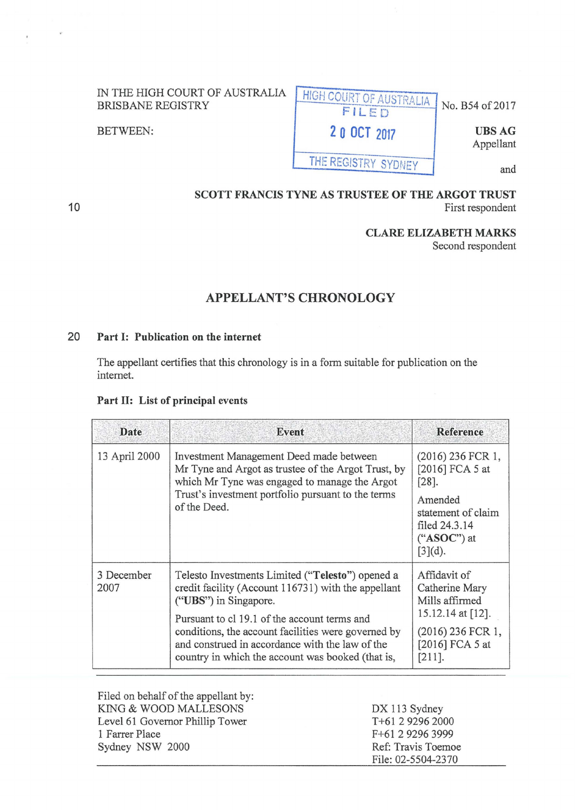| IN THE HIGH COURT OF AUSTRALIA<br><b>BRISBANE REGISTRY</b> | . HIGH COURT OF AUSTRALIA I<br>FILED | $\sqrt{\frac{1}{1}}$ No. B54 of 2017 |
|------------------------------------------------------------|--------------------------------------|--------------------------------------|
| BETWEEN:                                                   | 20 OCT 2017                          | <b>UBS AG</b><br>Appellant           |
|                                                            | THE REGISTRY SYDNEY                  | and                                  |

### **SCOTT FRANCIS TYNE AS TRUSTEE OF THE ARGOT TRUST**  First respondent

# **CLARE ELIZABETH MARKS**

Second respondent

# **APPELLANT'S CHRONOLOGY**

## **20 Part 1: Publication on the internet**

The appellant certifies that this chronology is in a form suitable for publication on the internet.

### **Part 11: List of principal events**

| Date                                                                                                                                                             | Event                                                                                                                                                                                                       | <b>Reference</b>                                                              |
|------------------------------------------------------------------------------------------------------------------------------------------------------------------|-------------------------------------------------------------------------------------------------------------------------------------------------------------------------------------------------------------|-------------------------------------------------------------------------------|
| 13 April 2000<br>Investment Management Deed made between<br>Mr Tyne and Argot as trustee of the Argot Trust, by<br>which Mr Tyne was engaged to manage the Argot | $(2016)$ 236 FCR 1,<br>[2016] FCA 5 at<br>$\lceil 28 \rceil$ .                                                                                                                                              |                                                                               |
|                                                                                                                                                                  | Trust's investment portfolio pursuant to the terms<br>of the Deed.                                                                                                                                          | Amended<br>statement of claim<br>filed 24.3.14<br>$(*ASOC")$ at<br>$[3](d)$ . |
| 3 December<br>2007                                                                                                                                               | Telesto Investments Limited ("Telesto") opened a<br>credit facility (Account 116731) with the appellant<br>("UBS") in Singapore.                                                                            | Affidavit of<br>Catherine Mary<br>Mills affirmed                              |
|                                                                                                                                                                  | Pursuant to cl 19.1 of the account terms and<br>conditions, the account facilities were governed by<br>and construed in accordance with the law of the<br>country in which the account was booked (that is, | 15.12.14 at [12].<br>(2016) 236 FCR 1,<br>[2016] FCA 5 at<br>$[211]$ .        |

| Filed on behalf of the appellant by: |                    |
|--------------------------------------|--------------------|
| KING & WOOD MALLESONS                | DX 113 Sydney      |
| Level 61 Governor Phillip Tower      | T+61 2 9296 2000   |
| 1 Farrer Place                       | F+61 2 9296 3999   |
| Sydney NSW 2000                      | Ref: Travis Toemoe |
|                                      | File: 02-5504-2370 |

**10**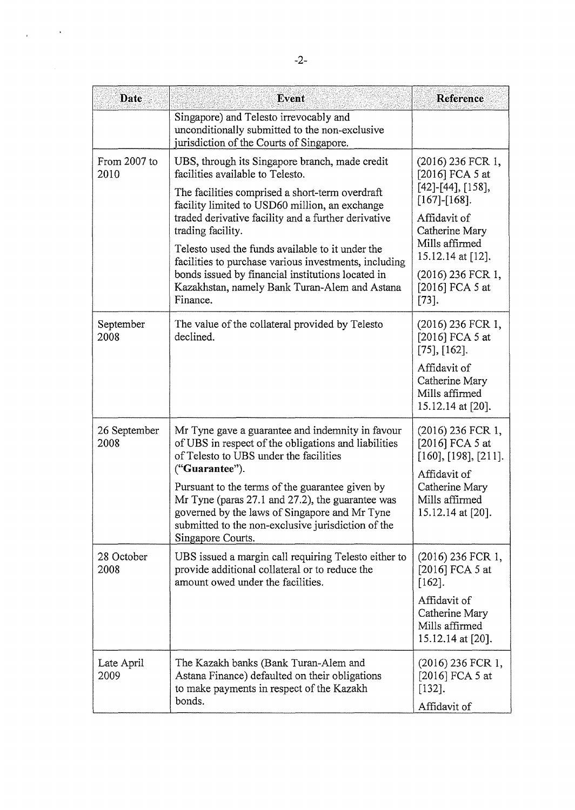| Date                 | Event                                                                                                                                                                                                                           | Reference                                                                    |
|----------------------|---------------------------------------------------------------------------------------------------------------------------------------------------------------------------------------------------------------------------------|------------------------------------------------------------------------------|
|                      | Singapore) and Telesto irrevocably and<br>unconditionally submitted to the non-exclusive<br>jurisdiction of the Courts of Singapore.                                                                                            |                                                                              |
| From 2007 to<br>2010 | UBS, through its Singapore branch, made credit<br>facilities available to Telesto.                                                                                                                                              | (2016) 236 FCR 1,<br>[2016] FCA 5 at<br>$[42]$ -[44], [158],                 |
|                      | The facilities comprised a short-term overdraft<br>facility limited to USD60 million, an exchange<br>traded derivative facility and a further derivative                                                                        | $[167]-[168].$<br>Affidavit of                                               |
|                      | trading facility.<br>Telesto used the funds available to it under the<br>facilities to purchase various investments, including                                                                                                  | Catherine Mary<br>Mills affirmed<br>15.12.14 at [12].                        |
|                      | bonds issued by financial institutions located in<br>Kazakhstan, namely Bank Turan-Alem and Astana<br>Finance.                                                                                                                  | (2016) 236 FCR 1,<br>[2016] FCA 5 at<br>$[73]$ .                             |
| September<br>2008    | The value of the collateral provided by Telesto<br>declined.                                                                                                                                                                    | $(2016)$ 236 FCR 1,<br>[2016] FCA 5 at<br>$[75]$ , $[162]$ .                 |
|                      |                                                                                                                                                                                                                                 | Affidavit of<br>Catherine Mary<br>Mills affirmed<br>15.12.14 at [20].        |
| 26 September<br>2008 | Mr Tyne gave a guarantee and indemnity in favour<br>of UBS in respect of the obligations and liabilities<br>of Telesto to UBS under the facilities<br>("Guarantee").                                                            | (2016) 236 FCR 1,<br>[2016] FCA 5 at<br>[160], [198], [211].<br>Affidavit of |
|                      | Pursuant to the terms of the guarantee given by<br>Mr Tyne (paras 27.1 and 27.2), the guarantee was<br>governed by the laws of Singapore and Mr Tyne<br>submitted to the non-exclusive jurisdiction of the<br>Singapore Courts. | Catherine Mary<br>Mills affirmed<br>15.12.14 at [20].                        |
| 28 October<br>2008   | UBS issued a margin call requiring Telesto either to<br>provide additional collateral or to reduce the<br>amount owed under the facilities.                                                                                     | $(2016)$ 236 FCR 1,<br>[2016] FCA 5 at<br>$[162]$ .                          |
|                      |                                                                                                                                                                                                                                 | Affidavit of<br>Catherine Mary<br>Mills affirmed<br>15.12.14 at [20].        |
| Late April<br>2009   | The Kazakh banks (Bank Turan-Alem and<br>Astana Finance) defaulted on their obligations<br>to make payments in respect of the Kazakh<br>bonds.                                                                                  | $(2016)$ 236 FCR 1,<br>[2016] FCA 5 at<br>$[132]$ .                          |
|                      |                                                                                                                                                                                                                                 | Affidavit of                                                                 |

 $\ddot{\phantom{0}}$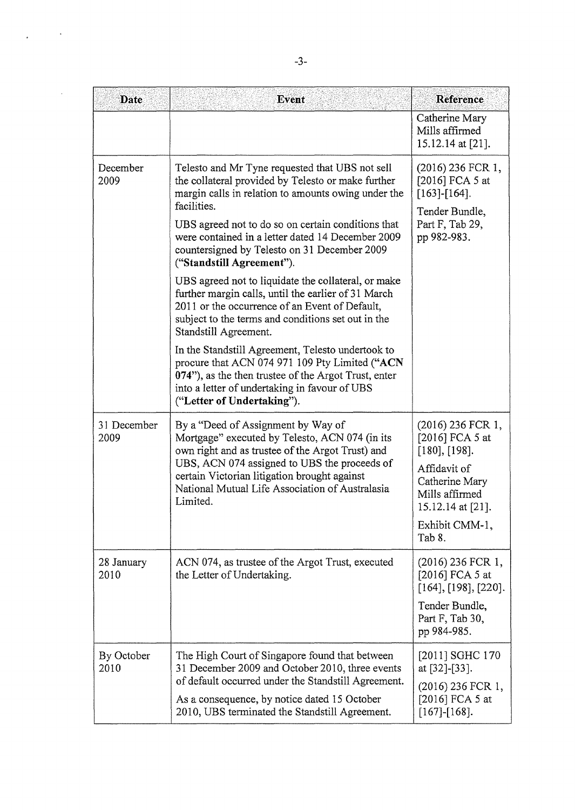| Date                | Event                                                                                                                                                                                                                                                                                                   | Reference                                                             |
|---------------------|---------------------------------------------------------------------------------------------------------------------------------------------------------------------------------------------------------------------------------------------------------------------------------------------------------|-----------------------------------------------------------------------|
|                     |                                                                                                                                                                                                                                                                                                         | Catherine Mary<br>Mills affirmed<br>15.12.14 at [21].                 |
| December<br>2009    | Telesto and Mr Tyne requested that UBS not sell<br>the collateral provided by Telesto or make further<br>margin calls in relation to amounts owing under the<br>facilities.                                                                                                                             | (2016) 236 FCR 1,<br>[2016] FCA 5 at<br>$[163]$ - $[164]$ .           |
|                     | UBS agreed not to do so on certain conditions that<br>were contained in a letter dated 14 December 2009<br>countersigned by Telesto on 31 December 2009<br>("Standstill Agreement").                                                                                                                    | Tender Bundle,<br>Part F, Tab 29,<br>pp 982-983.                      |
|                     | UBS agreed not to liquidate the collateral, or make<br>further margin calls, until the earlier of 31 March<br>2011 or the occurrence of an Event of Default,<br>subject to the terms and conditions set out in the<br>Standstill Agreement.                                                             |                                                                       |
|                     | In the Standstill Agreement, Telesto undertook to<br>procure that ACN 074 971 109 Pty Limited ("ACN<br>074"), as the then trustee of the Argot Trust, enter<br>into a letter of undertaking in favour of UBS<br>("Letter of Undertaking").                                                              |                                                                       |
| 31 December<br>2009 | By a "Deed of Assignment by Way of<br>Mortgage" executed by Telesto, ACN 074 (in its<br>own right and as trustee of the Argot Trust) and<br>UBS, ACN 074 assigned to UBS the proceeds of<br>certain Victorian litigation brought against<br>National Mutual Life Association of Australasia<br>Limited. | $(2016)$ 236 FCR 1,<br>[2016] FCA 5 at<br>[180], [198].               |
|                     |                                                                                                                                                                                                                                                                                                         | Affidavit of<br>Catherine Mary<br>Mills affirmed<br>15.12.14 at [21]. |
|                     |                                                                                                                                                                                                                                                                                                         | Exhibit CMM-1,<br>Tab 8.                                              |
| 28 January<br>2010  | ACN 074, as trustee of the Argot Trust, executed<br>the Letter of Undertaking.                                                                                                                                                                                                                          | $(2016)$ 236 FCR 1,<br>[2016] FCA 5 at<br>[164], [198], [220].        |
|                     |                                                                                                                                                                                                                                                                                                         | Tender Bundle,<br>Part F, Tab 30,<br>pp 984-985.                      |
| By October<br>2010  | The High Court of Singapore found that between<br>31 December 2009 and October 2010, three events                                                                                                                                                                                                       | [2011] SGHC 170<br>at [32]-[33].                                      |
|                     | of default occurred under the Standstill Agreement.<br>As a consequence, by notice dated 15 October<br>2010, UBS terminated the Standstill Agreement.                                                                                                                                                   | $(2016)$ 236 FCR 1,<br>[2016] FCA 5 at<br>$[167]$ - $[168]$ .         |

 $\frac{1}{2}$  ,  $\frac{1}{2}$  ,  $\frac{1}{2}$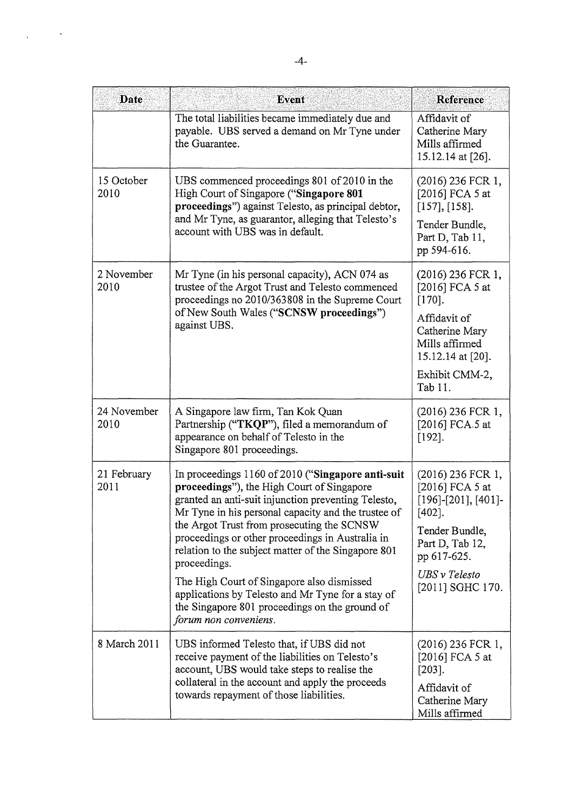| Date                | Event                                                                                                                                                                                                         | Reference                                                                          |
|---------------------|---------------------------------------------------------------------------------------------------------------------------------------------------------------------------------------------------------------|------------------------------------------------------------------------------------|
|                     | The total liabilities became immediately due and<br>payable. UBS served a demand on Mr Tyne under<br>the Guarantee.                                                                                           | Affidavit of<br>Catherine Mary<br>Mills affirmed<br>15.12.14 at [26].              |
| 15 October<br>2010  | UBS commenced proceedings 801 of 2010 in the<br>High Court of Singapore ("Singapore 801<br>proceedings") against Telesto, as principal debtor,                                                                | (2016) 236 FCR 1,<br>[2016] FCA 5 at<br>[157], [158].                              |
|                     | and Mr Tyne, as guarantor, alleging that Telesto's<br>account with UBS was in default.                                                                                                                        | Tender Bundle,<br>Part D, Tab 11,<br>pp 594-616.                                   |
| 2 November<br>2010  | Mr Tyne (in his personal capacity), ACN 074 as<br>trustee of the Argot Trust and Telesto commenced<br>proceedings no 2010/363808 in the Supreme Court                                                         | (2016) 236 FCR 1,<br>[2016] FCA 5 at<br>$[170]$ .                                  |
|                     | of New South Wales ("SCNSW proceedings")<br>against UBS.                                                                                                                                                      | Affidavit of<br>Catherine Mary<br>Mills affirmed<br>15.12.14 at [20].              |
|                     |                                                                                                                                                                                                               | Exhibit CMM-2,<br>Tab 11.                                                          |
| 24 November<br>2010 | A Singapore law firm, Tan Kok Quan<br>Partnership ("TKQP"), filed a memorandum of<br>appearance on behalf of Telesto in the<br>Singapore 801 proceedings.                                                     | (2016) 236 FCR 1,<br>[2016] FCA.5 at<br>$[192]$ .                                  |
| 21 February<br>2011 | In proceedings 1160 of 2010 ("Singapore anti-suit<br>proceedings"), the High Court of Singapore<br>granted an anti-suit injunction preventing Telesto,<br>Mr Tyne in his personal capacity and the trustee of | (2016) 236 FCR 1,<br>[2016] FCA 5 at<br>$[196]$ - $[201]$ , $[401]$ -<br>$[402]$ . |
|                     | the Argot Trust from prosecuting the SCNSW<br>proceedings or other proceedings in Australia in<br>relation to the subject matter of the Singapore 801<br>proceedings.                                         | Tender Bundle,<br>Part D, Tab 12,<br>pp 617-625.                                   |
|                     | The High Court of Singapore also dismissed<br>applications by Telesto and Mr Tyne for a stay of<br>the Singapore 801 proceedings on the ground of<br>forum non conveniens.                                    | UBS v Telesto<br>[2011] SGHC 170.                                                  |
| 8 March 2011        | UBS informed Telesto that, if UBS did not<br>receive payment of the liabilities on Telesto's<br>account, UBS would take steps to realise the                                                                  | (2016) 236 FCR 1,<br>[2016] FCA 5 at<br>$[203]$ .                                  |
|                     | collateral in the account and apply the proceeds<br>towards repayment of those liabilities.                                                                                                                   | Affidavit of<br>Catherine Mary<br>Mills affirmed                                   |

 $\mathcal{L}_{\text{max}}$  and  $\mathcal{L}_{\text{max}}$ 

l.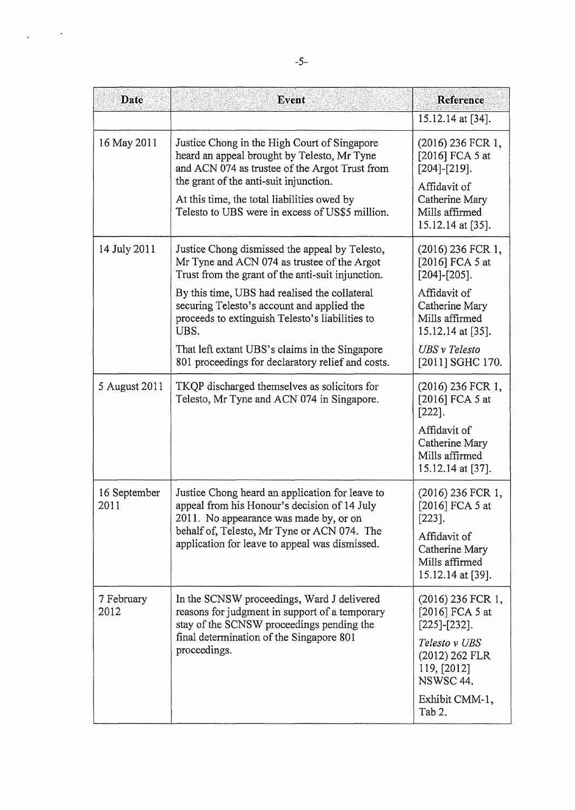| Date                 | Event                                                                                                                                                                                                                                                                                                                                                                                                               | Reference                                                                                                                                                             |
|----------------------|---------------------------------------------------------------------------------------------------------------------------------------------------------------------------------------------------------------------------------------------------------------------------------------------------------------------------------------------------------------------------------------------------------------------|-----------------------------------------------------------------------------------------------------------------------------------------------------------------------|
|                      |                                                                                                                                                                                                                                                                                                                                                                                                                     | 15.12.14 at [34].                                                                                                                                                     |
| 16 May 2011          | Justice Chong in the High Court of Singapore<br>heard an appeal brought by Telesto, Mr Tyne<br>and ACN 074 as trustee of the Argot Trust from<br>the grant of the anti-suit injunction.<br>At this time, the total liabilities owed by<br>Telesto to UBS were in excess of US\$5 million.                                                                                                                           | (2016) 236 FCR 1,<br>[2016] FCA 5 at<br>$[204]$ - $[219]$ .<br>Affidavit of<br>Catherine Mary<br>Mills affirmed<br>15.12.14 at [35].                                  |
| 14 July 2011         | Justice Chong dismissed the appeal by Telesto,<br>Mr Tyne and ACN 074 as trustee of the Argot<br>Trust from the grant of the anti-suit injunction.<br>By this time, UBS had realised the collateral<br>securing Telesto's account and applied the<br>proceeds to extinguish Telesto's liabilities to<br>UBS.<br>That left extant UBS's claims in the Singapore<br>801 proceedings for declaratory relief and costs. | (2016) 236 FCR 1,<br>[2016] FCA 5 at<br>$[204]-[205]$ .<br>Affidavit of<br>Catherine Mary<br>Mills affirmed<br>15.12.14 at [35].<br>UBS v Telesto<br>[2011] SGHC 170. |
| 5 August 2011        | TKQP discharged themselves as solicitors for<br>Telesto, Mr Tyne and ACN 074 in Singapore.                                                                                                                                                                                                                                                                                                                          | (2016) 236 FCR 1,<br>[2016] FCA 5 at<br>$[222]$ .<br>Affidavit of<br>Catherine Mary<br>Mills affirmed<br>15.12.14 at [37].                                            |
| 16 September<br>2011 | Justice Chong heard an application for leave to<br>appeal from his Honour's decision of 14 July<br>2011. No appearance was made by, or on<br>behalf of, Telesto, Mr Tyne or ACN 074. The<br>application for leave to appeal was dismissed.                                                                                                                                                                          | $(2016)$ 236 FCR 1,<br>[2016] FCA 5 at<br>$[223]$ .<br>Affidavit of<br>Catherine Mary<br>Mills affirmed<br>15.12.14 at [39].                                          |
| 7 February<br>2012   | In the SCNSW proceedings, Ward J delivered<br>reasons for judgment in support of a temporary<br>stay of the SCNSW proceedings pending the<br>final determination of the Singapore 801<br>proceedings.                                                                                                                                                                                                               | (2016) 236 FCR 1,<br>[2016] FCA 5 at<br>$[225]$ - $[232]$ .<br>Telesto v UBS<br>(2012) 262 FLR<br>119, [2012]<br>NSWSC 44.<br>Exhibit CMM-1,<br>Tab 2.                |

 $\chi_{\rm{eff}}=0.1$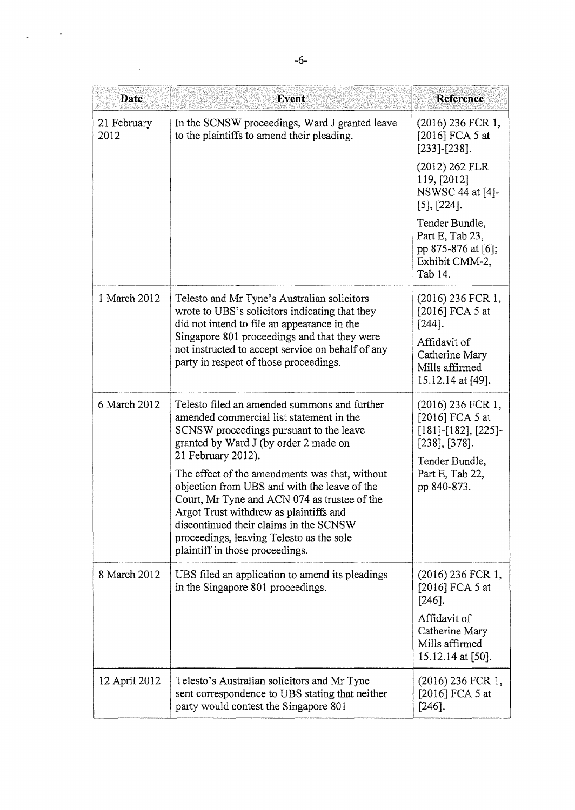| Date                | Event                                                                                                                                                                                                                                                                                                                                   | Reference                                                                               |
|---------------------|-----------------------------------------------------------------------------------------------------------------------------------------------------------------------------------------------------------------------------------------------------------------------------------------------------------------------------------------|-----------------------------------------------------------------------------------------|
| 21 February<br>2012 | In the SCNSW proceedings, Ward J granted leave<br>to the plaintiffs to amend their pleading.                                                                                                                                                                                                                                            | (2016) 236 FCR 1,<br>[2016] FCA 5 at<br>$[233]$ - $[238]$ .                             |
|                     |                                                                                                                                                                                                                                                                                                                                         | (2012) 262 FLR<br>119, [2012]<br>NSWSC 44 at [4]-<br>$[5]$ , $[224]$ .                  |
|                     |                                                                                                                                                                                                                                                                                                                                         | Tender Bundle,<br>Part E, Tab 23,<br>pp 875-876 at [6];<br>Exhibit CMM-2,<br>Tab 14.    |
| 1 March 2012        | Telesto and Mr Tyne's Australian solicitors<br>wrote to UBS's solicitors indicating that they<br>did not intend to file an appearance in the                                                                                                                                                                                            | $(2016)$ 236 FCR 1,<br>[2016] FCA 5 at<br>$[244]$ .                                     |
|                     | Singapore 801 proceedings and that they were<br>not instructed to accept service on behalf of any<br>party in respect of those proceedings.                                                                                                                                                                                             | Affidavit of<br>Catherine Mary<br>Mills affirmed<br>15.12.14 at [49].                   |
| 6 March 2012        | Telesto filed an amended summons and further<br>amended commercial list statement in the<br>SCNSW proceedings pursuant to the leave<br>granted by Ward J (by order 2 made on                                                                                                                                                            | $(2016)$ 236 FCR 1,<br>[2016] FCA 5 at<br>$[181]$ -[182], [225]-<br>$[238]$ , $[378]$ . |
|                     | 21 February 2012).<br>The effect of the amendments was that, without<br>objection from UBS and with the leave of the<br>Court, Mr Tyne and ACN 074 as trustee of the<br>Argot Trust withdrew as plaintiffs and<br>discontinued their claims in the SCNSW<br>proceedings, leaving Telesto as the sole<br>plaintiff in those proceedings. | Tender Bundle,<br>Part E, Tab 22,<br>pp 840-873.                                        |
| 8 March 2012        | UBS filed an application to amend its pleadings<br>in the Singapore 801 proceedings.                                                                                                                                                                                                                                                    | $(2016)$ 236 FCR 1,<br>[2016] FCA 5 at<br>$[246]$ .                                     |
|                     |                                                                                                                                                                                                                                                                                                                                         | Affidavit of<br>Catherine Mary<br>Mills affirmed<br>15.12.14 at [50].                   |
| 12 April 2012       | Telesto's Australian solicitors and Mr Tyne<br>sent correspondence to UBS stating that neither<br>party would contest the Singapore 801                                                                                                                                                                                                 | (2016) 236 FCR 1,<br>[2016] FCA 5 at<br>$[246]$ .                                       |

 $\frac{1}{2} \left( \frac{1}{2} \right)$  ,  $\frac{1}{2}$ 

 $\label{eq:2} \frac{1}{2} \sum_{i=1}^n \frac{1}{2} \sum_{j=1}^n \frac{1}{2} \sum_{j=1}^n \frac{1}{2} \sum_{j=1}^n \frac{1}{2} \sum_{j=1}^n \frac{1}{2} \sum_{j=1}^n \frac{1}{2} \sum_{j=1}^n \frac{1}{2} \sum_{j=1}^n \frac{1}{2} \sum_{j=1}^n \frac{1}{2} \sum_{j=1}^n \frac{1}{2} \sum_{j=1}^n \frac{1}{2} \sum_{j=1}^n \frac{1}{2} \sum_{j=1}^n \frac{1}{$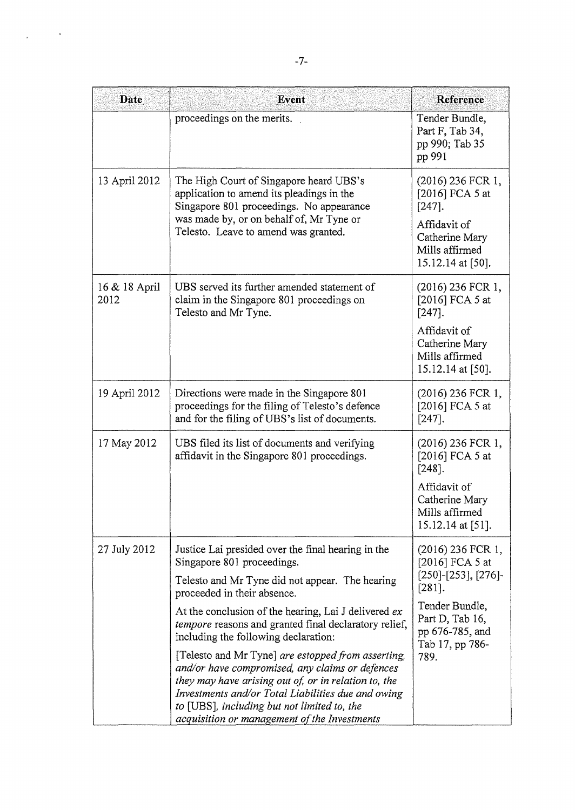| <b>Date</b>           | <b>Event</b>                                                                                                                                                                                                                                                                                                       | <b>Reference</b>                                                        |
|-----------------------|--------------------------------------------------------------------------------------------------------------------------------------------------------------------------------------------------------------------------------------------------------------------------------------------------------------------|-------------------------------------------------------------------------|
|                       | proceedings on the merits.                                                                                                                                                                                                                                                                                         | Tender Bundle,<br>Part F, Tab 34,<br>pp 990; Tab 35<br>pp 991           |
| 13 April 2012         | The High Court of Singapore heard UBS's<br>application to amend its pleadings in the<br>Singapore 801 proceedings. No appearance                                                                                                                                                                                   | $(2016)$ 236 FCR 1,<br>[2016] FCA 5 at<br>$[247]$ .                     |
|                       | was made by, or on behalf of, Mr Tyne or<br>Telesto. Leave to amend was granted.                                                                                                                                                                                                                                   | Affidavit of<br>Catherine Mary<br>Mills affirmed<br>15.12.14 at [50].   |
| 16 & 18 April<br>2012 | UBS served its further amended statement of<br>claim in the Singapore 801 proceedings on<br>Telesto and Mr Tyne.                                                                                                                                                                                                   | $(2016)$ 236 FCR 1,<br>[2016] FCA 5 at<br>$[247]$ .                     |
|                       |                                                                                                                                                                                                                                                                                                                    | Affidavit of<br>Catherine Mary<br>Mills affirmed<br>15.12.14 at [50].   |
| 19 April 2012         | Directions were made in the Singapore 801<br>proceedings for the filing of Telesto's defence<br>and for the filing of UBS's list of documents.                                                                                                                                                                     | $(2016)$ 236 FCR 1,<br>[2016] FCA 5 at<br>$[247]$ .                     |
| 17 May 2012           | UBS filed its list of documents and verifying<br>affidavit in the Singapore 801 proceedings.                                                                                                                                                                                                                       | $(2016)$ 236 FCR 1,<br>[2016] FCA 5 at<br>$[248]$ .                     |
|                       |                                                                                                                                                                                                                                                                                                                    | Affidavit of<br>Catherine Mary<br>Mills affirmed<br>15.12.14 at [51].   |
| 27 July 2012          | Justice Lai presided over the final hearing in the<br>Singapore 801 proceedings.                                                                                                                                                                                                                                   | $(2016)$ 236 FCR 1,<br>[2016] FCA 5 at                                  |
|                       | Telesto and Mr Tyne did not appear. The hearing<br>proceeded in their absence.                                                                                                                                                                                                                                     | $[250]$ - $[253]$ , $[276]$ -<br>$[281]$ .                              |
|                       | At the conclusion of the hearing, Lai J delivered ex<br><i>tempore</i> reasons and granted final declaratory relief,<br>including the following declaration:                                                                                                                                                       | Tender Bundle,<br>Part D, Tab 16,<br>pp 676-785, and<br>Tab 17, pp 786- |
|                       | [Telesto and Mr Tyne] are estopped from asserting,<br>and/or have compromised, any claims or defences<br>they may have arising out of, or in relation to, the<br>Investments and/or Total Liabilities due and owing<br>to [UBS], including but not limited to, the<br>acquisition or management of the Investments | 789.                                                                    |

 $\label{eq:2.1} \frac{1}{\sqrt{2\pi}}\left(\frac{1}{\sqrt{2\pi}}\right)^{1/2}\frac{1}{\sqrt{2\pi}}\left(\frac{1}{\sqrt{2\pi}}\right)^{1/2}$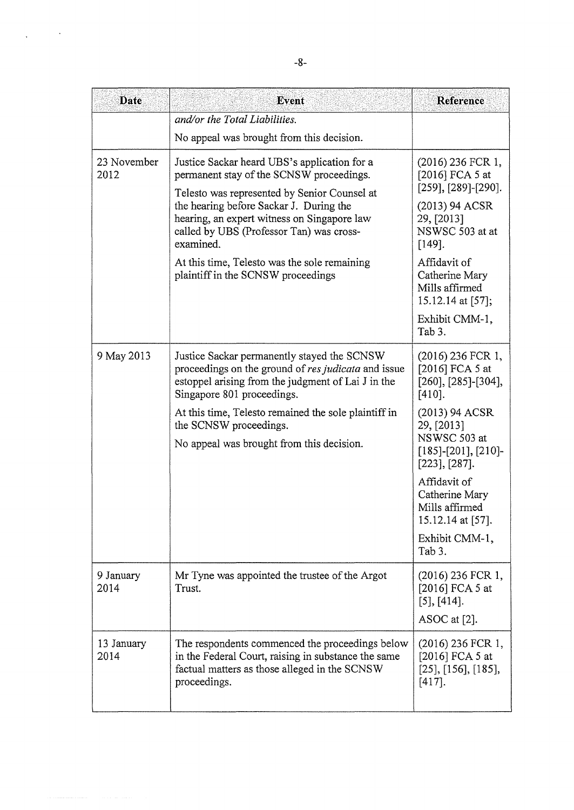| Date                | Event                                                                                                                                                                                                                                                                                       | Reference                                                                                      |
|---------------------|---------------------------------------------------------------------------------------------------------------------------------------------------------------------------------------------------------------------------------------------------------------------------------------------|------------------------------------------------------------------------------------------------|
|                     | and/or the Total Liabilities.                                                                                                                                                                                                                                                               |                                                                                                |
|                     | No appeal was brought from this decision.                                                                                                                                                                                                                                                   |                                                                                                |
| 23 November<br>2012 | Justice Sackar heard UBS's application for a<br>permanent stay of the SCNSW proceedings.<br>Telesto was represented by Senior Counsel at<br>the hearing before Sackar J. During the<br>hearing, an expert witness on Singapore law<br>called by UBS (Professor Tan) was cross-<br>examined. | (2016) 236 FCR 1,<br>[2016] FCA 5 at<br>$[259]$ , $[289]$ - $[290]$ .                          |
|                     |                                                                                                                                                                                                                                                                                             | (2013) 94 ACSR<br>29, [2013]<br>NSWSC 503 at at<br>$[149]$ .                                   |
|                     | At this time, Telesto was the sole remaining<br>plaintiff in the SCNSW proceedings                                                                                                                                                                                                          | Affidavit of<br>Catherine Mary<br>Mills affirmed<br>15.12.14 at [57];                          |
|                     |                                                                                                                                                                                                                                                                                             | Exhibit CMM-1,<br>Tab 3.                                                                       |
| 9 May 2013          | Justice Sackar permanently stayed the SCNSW<br>proceedings on the ground of res judicata and issue<br>estoppel arising from the judgment of Lai J in the<br>Singapore 801 proceedings.                                                                                                      | $(2016)$ 236 FCR 1,<br>[2016] FCA 5 at<br>$[260]$ , $[285]$ - $[304]$ ,<br>$[410]$ .           |
|                     | At this time, Telesto remained the sole plaintiff in<br>the SCNSW proceedings.<br>No appeal was brought from this decision.                                                                                                                                                                 | (2013) 94 ACSR<br>29, [2013]<br>NSWSC 503 at<br>$[185]$ - $[201]$ , $[210]$ -<br>[223], [287]. |
|                     |                                                                                                                                                                                                                                                                                             | Affidavit of<br>Catherine Mary<br>Mills affirmed<br>15.12.14 at [57].                          |
|                     |                                                                                                                                                                                                                                                                                             | Exhibit CMM-1,<br>Tab 3.                                                                       |
| 9 January<br>2014   | Mr Tyne was appointed the trustee of the Argot<br>Trust.                                                                                                                                                                                                                                    | (2016) 236 FCR 1,<br>[2016] FCA 5 at<br>$[5]$ , $[414]$ .<br>ASOC at $[2]$ .                   |
| 13 January<br>2014  | The respondents commenced the proceedings below<br>in the Federal Court, raising in substance the same<br>factual matters as those alleged in the SCNSW<br>proceedings.                                                                                                                     | (2016) 236 FCR 1,<br>[2016] FCA 5 at<br>$[25]$ , [156], [185],<br>$[417]$ .                    |

 $\ddot{\phantom{0}}$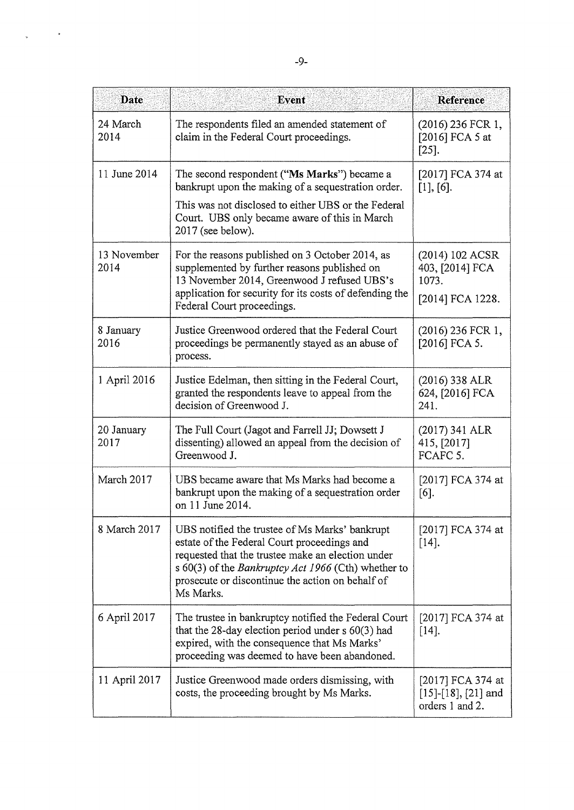| <b>Date</b>         | Event                                                                                                                                                                                                                                                                      | Reference                                                     |
|---------------------|----------------------------------------------------------------------------------------------------------------------------------------------------------------------------------------------------------------------------------------------------------------------------|---------------------------------------------------------------|
| 24 March<br>2014    | The respondents filed an amended statement of<br>claim in the Federal Court proceedings.                                                                                                                                                                                   | (2016) 236 FCR 1,<br>[2016] FCA 5 at<br>$[25]$ .              |
| 11 June 2014        | The second respondent ("Ms Marks") became a<br>bankrupt upon the making of a sequestration order.<br>This was not disclosed to either UBS or the Federal<br>Court. UBS only became aware of this in March                                                                  | [2017] FCA 374 at<br>$[1]$ , $[6]$ .                          |
|                     | $2017$ (see below).                                                                                                                                                                                                                                                        |                                                               |
| 13 November<br>2014 | For the reasons published on 3 October 2014, as<br>supplemented by further reasons published on<br>13 November 2014, Greenwood J refused UBS's                                                                                                                             | (2014) 102 ACSR<br>403, [2014] FCA<br>1073.                   |
|                     | application for security for its costs of defending the<br>Federal Court proceedings.                                                                                                                                                                                      | [2014] FCA 1228.                                              |
| 8 January<br>2016   | Justice Greenwood ordered that the Federal Court<br>proceedings be permanently stayed as an abuse of<br>process.                                                                                                                                                           | $(2016)$ 236 FCR 1,<br>[2016] FCA 5.                          |
| 1 April 2016        | Justice Edelman, then sitting in the Federal Court,<br>granted the respondents leave to appeal from the<br>decision of Greenwood J.                                                                                                                                        | $(2016)$ 338 ALR<br>624, [2016] FCA<br>241.                   |
| 20 January<br>2017  | The Full Court (Jagot and Farrell JJ; Dowsett J<br>dissenting) allowed an appeal from the decision of<br>Greenwood J.                                                                                                                                                      | (2017) 341 ALR<br>415, [2017]<br>FCAFC 5.                     |
| March 2017          | UBS became aware that Ms Marks had become a<br>bankrupt upon the making of a sequestration order<br>on 11 June 2014.                                                                                                                                                       | [2017] FCA 374 at<br>$[6]$ .                                  |
| 8 March 2017        | UBS notified the trustee of Ms Marks' bankrupt<br>estate of the Federal Court proceedings and<br>requested that the trustee make an election under<br>s 60(3) of the Bankruptcy Act 1966 (Cth) whether to<br>prosecute or discontinue the action on behalf of<br>Ms Marks. | [2017] FCA 374 at<br>$[14]$ .                                 |
| 6 April 2017        | The trustee in bankruptcy notified the Federal Court<br>that the 28-day election period under $s$ 60(3) had<br>expired, with the consequence that Ms Marks'<br>proceeding was deemed to have been abandoned.                                                               | [2017] FCA 374 at<br>$[14]$ .                                 |
| 11 April 2017       | Justice Greenwood made orders dismissing, with<br>costs, the proceeding brought by Ms Marks.                                                                                                                                                                               | [2017] FCA 374 at<br>$[15]-[18], [21]$ and<br>orders 1 and 2. |

 $\mathcal{L}^{\text{max}}_{\text{max}}$